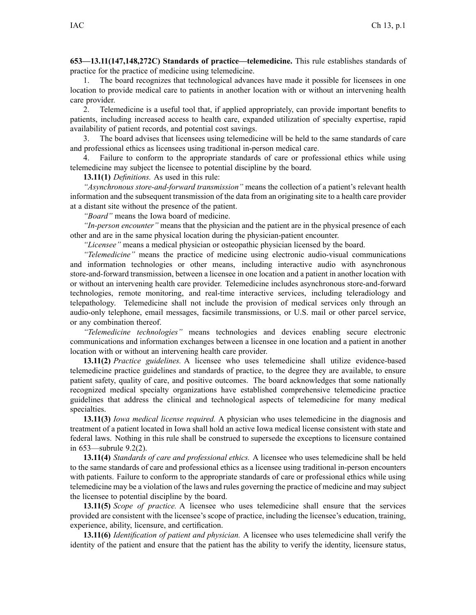**653—13.11(147,148,272C) Standards of practice—telemedicine.** This rule establishes standards of practice for the practice of medicine using telemedicine.

1. The board recognizes that technological advances have made it possible for licensees in one location to provide medical care to patients in another location with or without an intervening health care provider.

2. Telemedicine is <sup>a</sup> useful tool that, if applied appropriately, can provide important benefits to patients, including increased access to health care, expanded utilization of specialty expertise, rapid availability of patient records, and potential cost savings.

3. The board advises that licensees using telemedicine will be held to the same standards of care and professional ethics as licensees using traditional in-person medical care.

4. Failure to conform to the appropriate standards of care or professional ethics while using telemedicine may subject the licensee to potential discipline by the board.

## **13.11(1)** *Definitions.* As used in this rule:

*"Asynchronous store-and-forward transmission"* means the collection of <sup>a</sup> patient's relevant health information and the subsequent transmission of the data from an originating site to <sup>a</sup> health care provider at <sup>a</sup> distant site without the presence of the patient.

*"Board"* means the Iowa board of medicine.

*"In-person encounter"* means that the physician and the patient are in the physical presence of each other and are in the same physical location during the physician-patient encounter.

*"Licensee"* means <sup>a</sup> medical physician or osteopathic physician licensed by the board.

*"Telemedicine"* means the practice of medicine using electronic audio-visual communications and information technologies or other means, including interactive audio with asynchronous store-and-forward transmission, between <sup>a</sup> licensee in one location and <sup>a</sup> patient in another location with or without an intervening health care provider. Telemedicine includes asynchronous store-and-forward technologies, remote monitoring, and real-time interactive services, including teleradiology and telepathology. Telemedicine shall not include the provision of medical services only through an audio-only telephone, email messages, facsimile transmissions, or U.S. mail or other parcel service, or any combination thereof.

*"Telemedicine technologies"* means technologies and devices enabling secure electronic communications and information exchanges between <sup>a</sup> licensee in one location and <sup>a</sup> patient in another location with or without an intervening health care provider.

**13.11(2)** *Practice guidelines.* A licensee who uses telemedicine shall utilize evidence-based telemedicine practice guidelines and standards of practice, to the degree they are available, to ensure patient safety, quality of care, and positive outcomes. The board acknowledges that some nationally recognized medical specialty organizations have established comprehensive telemedicine practice guidelines that address the clinical and technological aspects of telemedicine for many medical specialties.

**13.11(3)** *Iowa medical license required.* A physician who uses telemedicine in the diagnosis and treatment of <sup>a</sup> patient located in Iowa shall hold an active Iowa medical license consistent with state and federal laws. Nothing in this rule shall be construed to supersede the exceptions to licensure contained in [653—subrule](https://www.legis.iowa.gov/docs/iac/rule/653.9.2.pdf) 9.2(2).

**13.11(4)** *Standards of care and professional ethics.* A licensee who uses telemedicine shall be held to the same standards of care and professional ethics as <sup>a</sup> licensee using traditional in-person encounters with patients. Failure to conform to the appropriate standards of care or professional ethics while using telemedicine may be <sup>a</sup> violation of the laws and rules governing the practice of medicine and may subject the licensee to potential discipline by the board.

**13.11(5)** *Scope of practice.* A licensee who uses telemedicine shall ensure that the services provided are consistent with the licensee's scope of practice, including the licensee's education, training, experience, ability, licensure, and certification.

**13.11(6)** *Identification of patient and physician.* A licensee who uses telemedicine shall verify the identity of the patient and ensure that the patient has the ability to verify the identity, licensure status,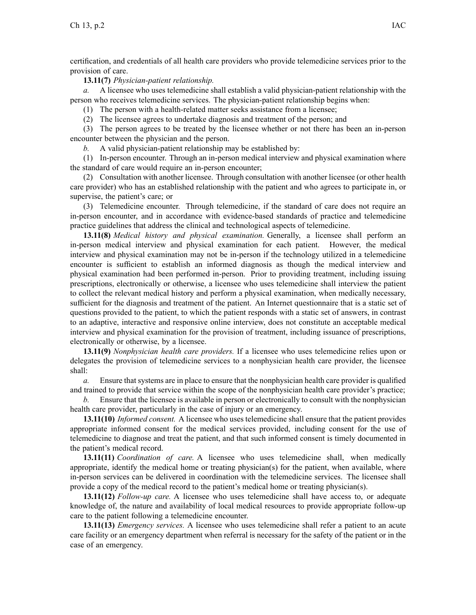certification, and credentials of all health care providers who provide telemedicine services prior to the provision of care.

## **13.11(7)** *Physician-patient relationship.*

*a.* A licensee who uses telemedicine shall establish <sup>a</sup> valid physician-patient relationship with the person who receives telemedicine services. The physician-patient relationship begins when:

(1) The person with <sup>a</sup> health-related matter seeks assistance from <sup>a</sup> licensee;

(2) The licensee agrees to undertake diagnosis and treatment of the person; and

(3) The person agrees to be treated by the licensee whether or not there has been an in-person encounter between the physician and the person.

*b.* A valid physician-patient relationship may be established by:

(1) In-person encounter. Through an in-person medical interview and physical examination where the standard of care would require an in-person encounter;

(2) Consultation with another licensee. Through consultation with another licensee (or other health care provider) who has an established relationship with the patient and who agrees to participate in, or supervise, the patient's care; or

(3) Telemedicine encounter. Through telemedicine, if the standard of care does not require an in-person encounter, and in accordance with evidence-based standards of practice and telemedicine practice guidelines that address the clinical and technological aspects of telemedicine.

**13.11(8)** *Medical history and physical examination.* Generally, <sup>a</sup> licensee shall perform an in-person medical interview and physical examination for each patient. However, the medical interview and physical examination may not be in-person if the technology utilized in <sup>a</sup> telemedicine encounter is sufficient to establish an informed diagnosis as though the medical interview and physical examination had been performed in-person. Prior to providing treatment, including issuing prescriptions, electronically or otherwise, <sup>a</sup> licensee who uses telemedicine shall interview the patient to collect the relevant medical history and perform <sup>a</sup> physical examination, when medically necessary, sufficient for the diagnosis and treatment of the patient. An Internet questionnaire that is <sup>a</sup> static set of questions provided to the patient, to which the patient responds with <sup>a</sup> static set of answers, in contrast to an adaptive, interactive and responsive online interview, does not constitute an acceptable medical interview and physical examination for the provision of treatment, including issuance of prescriptions, electronically or otherwise, by <sup>a</sup> licensee.

**13.11(9)** *Nonphysician health care providers.* If <sup>a</sup> licensee who uses telemedicine relies upon or delegates the provision of telemedicine services to <sup>a</sup> nonphysician health care provider, the licensee shall:

*a.* Ensure that systems are in place to ensure that the nonphysician health care provider is qualified and trained to provide that service within the scope of the nonphysician health care provider's practice;

*b.* Ensure that the licensee is available in person or electronically to consult with the nonphysician health care provider, particularly in the case of injury or an emergency.

**13.11(10)** *Informed consent.* A licensee who uses telemedicine shall ensure that the patient provides appropriate informed consent for the medical services provided, including consent for the use of telemedicine to diagnose and treat the patient, and that such informed consent is timely documented in the patient's medical record.

**13.11(11)** *Coordination of care.* A licensee who uses telemedicine shall, when medically appropriate, identify the medical home or treating physician(s) for the patient, when available, where in-person services can be delivered in coordination with the telemedicine services. The licensee shall provide <sup>a</sup> copy of the medical record to the patient's medical home or treating physician(s).

**13.11(12)** *Follow-up care.* A licensee who uses telemedicine shall have access to, or adequate knowledge of, the nature and availability of local medical resources to provide appropriate follow-up care to the patient following <sup>a</sup> telemedicine encounter.

**13.11(13)** *Emergency services.* A licensee who uses telemedicine shall refer <sup>a</sup> patient to an acute care facility or an emergency department when referral is necessary for the safety of the patient or in the case of an emergency.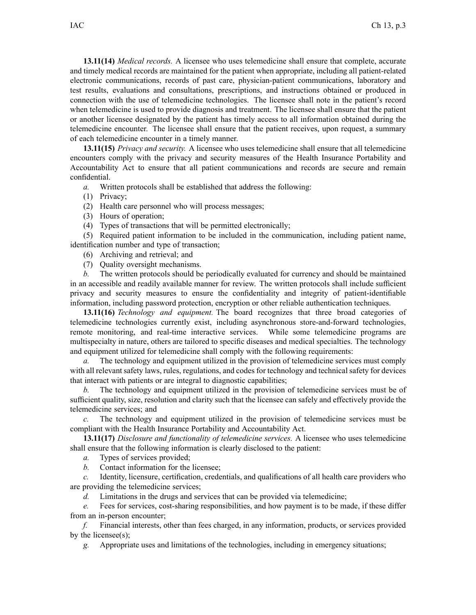**13.11(14)** *Medical records.* A licensee who uses telemedicine shall ensure that complete, accurate and timely medical records are maintained for the patient when appropriate, including all patient-related electronic communications, records of pas<sup>t</sup> care, physician-patient communications, laboratory and test results, evaluations and consultations, prescriptions, and instructions obtained or produced in connection with the use of telemedicine technologies. The licensee shall note in the patient's record when telemedicine is used to provide diagnosis and treatment. The licensee shall ensure that the patient or another licensee designated by the patient has timely access to all information obtained during the telemedicine encounter. The licensee shall ensure that the patient receives, upon request, <sup>a</sup> summary of each telemedicine encounter in <sup>a</sup> timely manner.

**13.11(15)** *Privacy and security.* A licensee who uses telemedicine shall ensure that all telemedicine encounters comply with the privacy and security measures of the Health Insurance Portability and Accountability Act to ensure that all patient communications and records are secure and remain confidential.

*a.* Written protocols shall be established that address the following:

- (1) Privacy;
- (2) Health care personnel who will process messages;
- (3) Hours of operation;
- (4) Types of transactions that will be permitted electronically;

(5) Required patient information to be included in the communication, including patient name, identification number and type of transaction;

- (6) Archiving and retrieval; and
- (7) Quality oversight mechanisms.

*b.* The written protocols should be periodically evaluated for currency and should be maintained in an accessible and readily available manner for review. The written protocols shall include sufficient privacy and security measures to ensure the confidentiality and integrity of patient-identifiable information, including password protection, encryption or other reliable authentication techniques.

**13.11(16)** *Technology and equipment.* The board recognizes that three broad categories of telemedicine technologies currently exist, including asynchronous store-and-forward technologies, remote monitoring, and real-time interactive services. While some telemedicine programs are multispecialty in nature, others are tailored to specific diseases and medical specialties. The technology and equipment utilized for telemedicine shall comply with the following requirements:

*a.* The technology and equipment utilized in the provision of telemedicine services must comply with all relevant safety laws, rules, regulations, and codes for technology and technical safety for devices that interact with patients or are integral to diagnostic capabilities;

*b.* The technology and equipment utilized in the provision of telemedicine services must be of sufficient quality, size, resolution and clarity such that the licensee can safely and effectively provide the telemedicine services; and

*c.* The technology and equipment utilized in the provision of telemedicine services must be compliant with the Health Insurance Portability and Accountability Act.

**13.11(17)** *Disclosure and functionality of telemedicine services.* A licensee who uses telemedicine shall ensure that the following information is clearly disclosed to the patient:

*a.* Types of services provided;

*b.* Contact information for the licensee;

*c.* Identity, licensure, certification, credentials, and qualifications of all health care providers who are providing the telemedicine services;

*d.* Limitations in the drugs and services that can be provided via telemedicine;

*e.* Fees for services, cost-sharing responsibilities, and how paymen<sup>t</sup> is to be made, if these differ from an in-person encounter;

*f.* Financial interests, other than fees charged, in any information, products, or services provided by the licensee(s);

*g.* Appropriate uses and limitations of the technologies, including in emergency situations;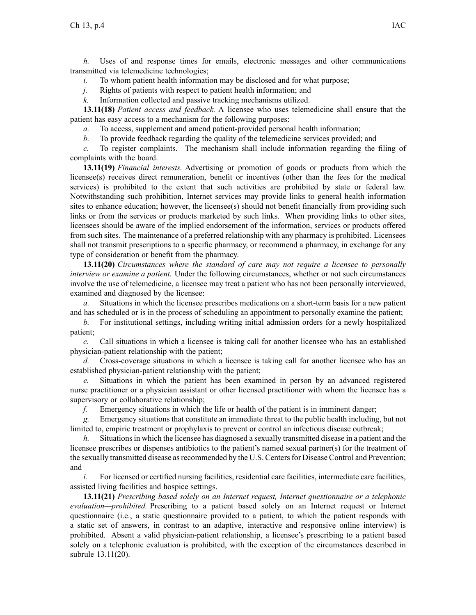*h.* Uses of and response times for emails, electronic messages and other communications transmitted via telemedicine technologies;

- *i.* To whom patient health information may be disclosed and for what purpose;
- *j.* Rights of patients with respec<sup>t</sup> to patient health information; and
- *k.* Information collected and passive tracking mechanisms utilized.

**13.11(18)** *Patient access and feedback.* A licensee who uses telemedicine shall ensure that the patient has easy access to <sup>a</sup> mechanism for the following purposes:

- *a.* To access, supplement and amend patient-provided personal health information;
- *b.* To provide feedback regarding the quality of the telemedicine services provided; and

*c.* To register complaints. The mechanism shall include information regarding the filing of complaints with the board.

**13.11(19)** *Financial interests.* Advertising or promotion of goods or products from which the licensee(s) receives direct remuneration, benefit or incentives (other than the fees for the medical services) is prohibited to the extent that such activities are prohibited by state or federal law. Notwithstanding such prohibition, Internet services may provide links to general health information sites to enhance education; however, the licensee(s) should not benefit financially from providing such links or from the services or products marketed by such links. When providing links to other sites, licensees should be aware of the implied endorsement of the information, services or products offered from such sites. The maintenance of <sup>a</sup> preferred relationship with any pharmacy is prohibited. Licensees shall not transmit prescriptions to <sup>a</sup> specific pharmacy, or recommend <sup>a</sup> pharmacy, in exchange for any type of consideration or benefit from the pharmacy.

**13.11(20)** *Circumstances where the standard of care may not require <sup>a</sup> licensee to personally interview or examine <sup>a</sup> patient.* Under the following circumstances, whether or not such circumstances involve the use of telemedicine, <sup>a</sup> licensee may treat <sup>a</sup> patient who has not been personally interviewed, examined and diagnosed by the licensee:

*a.* Situations in which the licensee prescribes medications on <sup>a</sup> short-term basis for <sup>a</sup> new patient and has scheduled or is in the process of scheduling an appointment to personally examine the patient;

*b.* For institutional settings, including writing initial admission orders for <sup>a</sup> newly hospitalized patient;

*c.* Call situations in which <sup>a</sup> licensee is taking call for another licensee who has an established physician-patient relationship with the patient;

*d.* Cross-coverage situations in which <sup>a</sup> licensee is taking call for another licensee who has an established physician-patient relationship with the patient;

*e.* Situations in which the patient has been examined in person by an advanced registered nurse practitioner or <sup>a</sup> physician assistant or other licensed practitioner with whom the licensee has <sup>a</sup> supervisory or collaborative relationship;

*f.* Emergency situations in which the life or health of the patient is in imminent danger;

*g.* Emergency situations that constitute an immediate threat to the public health including, but not limited to, empiric treatment or prophylaxis to preven<sup>t</sup> or control an infectious disease outbreak;

*h.* Situations in which the licensee has diagnosed a sexually transmitted disease in a patient and the licensee prescribes or dispenses antibiotics to the patient's named sexual partner(s) for the treatment of the sexually transmitted disease asrecommended by the U.S. Centersfor Disease Control and Prevention; and

*i.* For licensed or certified nursing facilities, residential care facilities, intermediate care facilities, assisted living facilities and hospice settings.

**13.11(21)** *Prescribing based solely on an Internet request, Internet questionnaire or <sup>a</sup> telephonic evaluation—prohibited.* Prescribing to <sup>a</sup> patient based solely on an Internet reques<sup>t</sup> or Internet questionnaire (i.e., <sup>a</sup> static questionnaire provided to <sup>a</sup> patient, to which the patient responds with <sup>a</sup> static set of answers, in contrast to an adaptive, interactive and responsive online interview) is prohibited. Absent <sup>a</sup> valid physician-patient relationship, <sup>a</sup> licensee's prescribing to <sup>a</sup> patient based solely on <sup>a</sup> telephonic evaluation is prohibited, with the exception of the circumstances described in subrule [13.11\(20\)](https://www.legis.iowa.gov/docs/iac/rule/653.13.11.pdf).